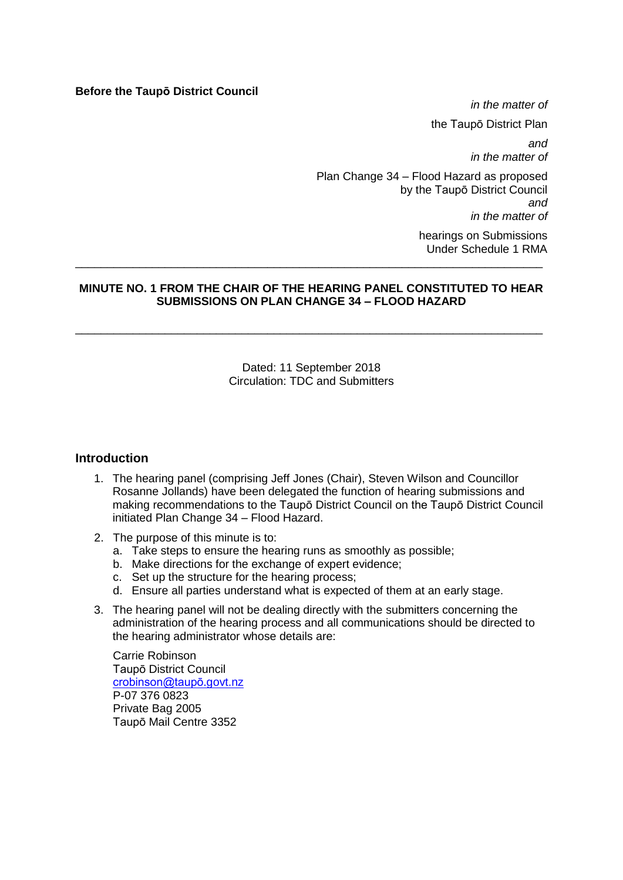#### **Before the Taupō District Council**

*in the matter of* the Taupō District Plan *and in the matter of* Plan Change 34 – Flood Hazard as proposed by the Taupō District Council *and*

*in the matter of*

hearings on Submissions Under Schedule 1 RMA

#### **MINUTE NO. 1 FROM THE CHAIR OF THE HEARING PANEL CONSTITUTED TO HEAR SUBMISSIONS ON PLAN CHANGE 34 – FLOOD HAZARD**

\_\_\_\_\_\_\_\_\_\_\_\_\_\_\_\_\_\_\_\_\_\_\_\_\_\_\_\_\_\_\_\_\_\_\_\_\_\_\_\_\_\_\_\_\_\_\_\_\_\_\_\_\_\_\_\_\_\_\_\_\_\_\_\_\_\_\_\_\_\_\_\_\_

\_\_\_\_\_\_\_\_\_\_\_\_\_\_\_\_\_\_\_\_\_\_\_\_\_\_\_\_\_\_\_\_\_\_\_\_\_\_\_\_\_\_\_\_\_\_\_\_\_\_\_\_\_\_\_\_\_\_\_\_\_\_\_\_\_\_\_\_\_\_\_\_\_

Dated: 11 September 2018 Circulation: TDC and Submitters

#### **Introduction**

- 1. The hearing panel (comprising Jeff Jones (Chair), Steven Wilson and Councillor Rosanne Jollands) have been delegated the function of hearing submissions and making recommendations to the Taupō District Council on the Taupō District Council initiated Plan Change 34 – Flood Hazard.
- 2. The purpose of this minute is to:
	- a. Take steps to ensure the hearing runs as smoothly as possible;
	- b. Make directions for the exchange of expert evidence;
	- c. Set up the structure for the hearing process;
	- d. Ensure all parties understand what is expected of them at an early stage.
- 3. The hearing panel will not be dealing directly with the submitters concerning the administration of the hearing process and all communications should be directed to the hearing administrator whose details are:

Carrie Robinson Taupō District Council [crobinson@taupō.govt.nz](mailto:crobinson@taupō.govt.nz) P-07 376 0823 Private Bag 2005 Taupō Mail Centre 3352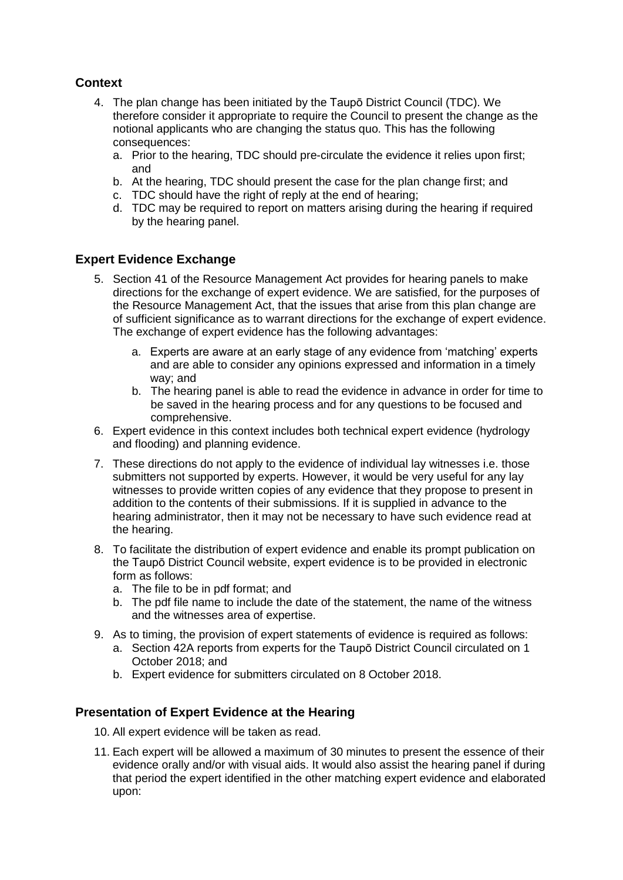# **Context**

- 4. The plan change has been initiated by the Taupō District Council (TDC). We therefore consider it appropriate to require the Council to present the change as the notional applicants who are changing the status quo. This has the following consequences:
	- a. Prior to the hearing, TDC should pre-circulate the evidence it relies upon first; and
	- b. At the hearing, TDC should present the case for the plan change first; and
	- c. TDC should have the right of reply at the end of hearing;
	- d. TDC may be required to report on matters arising during the hearing if required by the hearing panel.

## **Expert Evidence Exchange**

- 5. Section 41 of the Resource Management Act provides for hearing panels to make directions for the exchange of expert evidence. We are satisfied, for the purposes of the Resource Management Act, that the issues that arise from this plan change are of sufficient significance as to warrant directions for the exchange of expert evidence. The exchange of expert evidence has the following advantages:
	- a. Experts are aware at an early stage of any evidence from 'matching' experts and are able to consider any opinions expressed and information in a timely way; and
	- b. The hearing panel is able to read the evidence in advance in order for time to be saved in the hearing process and for any questions to be focused and comprehensive.
- 6. Expert evidence in this context includes both technical expert evidence (hydrology and flooding) and planning evidence.
- 7. These directions do not apply to the evidence of individual lay witnesses i.e. those submitters not supported by experts. However, it would be very useful for any lay witnesses to provide written copies of any evidence that they propose to present in addition to the contents of their submissions. If it is supplied in advance to the hearing administrator, then it may not be necessary to have such evidence read at the hearing.
- 8. To facilitate the distribution of expert evidence and enable its prompt publication on the Taupō District Council website, expert evidence is to be provided in electronic form as follows:
	- a. The file to be in pdf format; and
	- b. The pdf file name to include the date of the statement, the name of the witness and the witnesses area of expertise.
- 9. As to timing, the provision of expert statements of evidence is required as follows:
	- a. Section 42A reports from experts for the Taupō District Council circulated on 1 October 2018; and
	- b. Expert evidence for submitters circulated on 8 October 2018.

## **Presentation of Expert Evidence at the Hearing**

- 10. All expert evidence will be taken as read.
- 11. Each expert will be allowed a maximum of 30 minutes to present the essence of their evidence orally and/or with visual aids. It would also assist the hearing panel if during that period the expert identified in the other matching expert evidence and elaborated upon: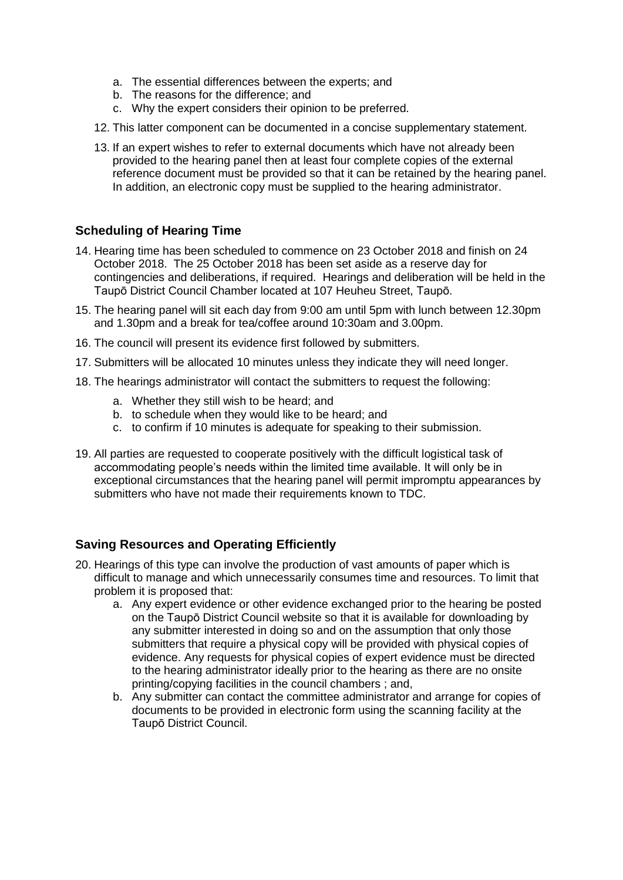- a. The essential differences between the experts; and
- b. The reasons for the difference; and
- c. Why the expert considers their opinion to be preferred.
- 12. This latter component can be documented in a concise supplementary statement.
- 13. If an expert wishes to refer to external documents which have not already been provided to the hearing panel then at least four complete copies of the external reference document must be provided so that it can be retained by the hearing panel. In addition, an electronic copy must be supplied to the hearing administrator.

## **Scheduling of Hearing Time**

- 14. Hearing time has been scheduled to commence on 23 October 2018 and finish on 24 October 2018. The 25 October 2018 has been set aside as a reserve day for contingencies and deliberations, if required. Hearings and deliberation will be held in the Taupō District Council Chamber located at 107 Heuheu Street, Taupō.
- 15. The hearing panel will sit each day from 9:00 am until 5pm with lunch between 12.30pm and 1.30pm and a break for tea/coffee around 10:30am and 3.00pm.
- 16. The council will present its evidence first followed by submitters.
- 17. Submitters will be allocated 10 minutes unless they indicate they will need longer.
- 18. The hearings administrator will contact the submitters to request the following:
	- a. Whether they still wish to be heard; and
	- b. to schedule when they would like to be heard; and
	- c. to confirm if 10 minutes is adequate for speaking to their submission.
- 19. All parties are requested to cooperate positively with the difficult logistical task of accommodating people's needs within the limited time available. It will only be in exceptional circumstances that the hearing panel will permit impromptu appearances by submitters who have not made their requirements known to TDC.

# **Saving Resources and Operating Efficiently**

- 20. Hearings of this type can involve the production of vast amounts of paper which is difficult to manage and which unnecessarily consumes time and resources. To limit that problem it is proposed that:
	- a. Any expert evidence or other evidence exchanged prior to the hearing be posted on the Taupō District Council website so that it is available for downloading by any submitter interested in doing so and on the assumption that only those submitters that require a physical copy will be provided with physical copies of evidence. Any requests for physical copies of expert evidence must be directed to the hearing administrator ideally prior to the hearing as there are no onsite printing/copying facilities in the council chambers ; and,
	- b. Any submitter can contact the committee administrator and arrange for copies of documents to be provided in electronic form using the scanning facility at the Taupō District Council.